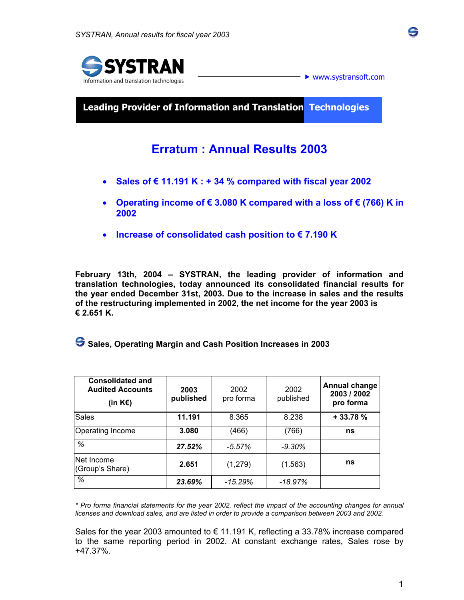



 $\blacktriangleright$  www.systransoft.com

**\_**

**Leading Provider of Information and Translation Technologies** 

## **Erratum : Annual Results 2003**

- **Sales of € 11.191 K : + 34 % compared with fiscal year 2002**
- **Operating income of € 3.080 K compared with a loss of € (766) K in 2002**
- **Increase of consolidated cash position to € 7.190 K**

**February 13th, 2004 – SYSTRAN, the leading provider of information and translation technologies, today announced its consolidated financial results for the year ended December 31st, 2003. Due to the increase in sales and the results of the restructuring implemented in 2002, the net income for the year 2003 is € 2.651 K.** 

 **Sales, Operating Margin and Cash Position Increases in 2003** 

| <b>Consolidated and</b><br><b>Audited Accounts</b><br>(in K€) | 2003<br>published | 2002<br>pro forma | 2002<br>published | <b>Annual change</b><br>2003 / 2002<br>pro forma |
|---------------------------------------------------------------|-------------------|-------------------|-------------------|--------------------------------------------------|
| <b>Sales</b>                                                  | 11.191            | 8.365             | 8.238             | $+33.78%$                                        |
| <b>Operating Income</b>                                       | 3.080             | (466)             | (766)             | ns                                               |
| %                                                             | 27.52%            | $-5.57\%$         | $-9.30\%$         |                                                  |
| Net Income<br>(Group's Share)                                 | 2.651             | (1,279)           | (1.563)           | ns                                               |
| %                                                             | 23.69%            | $-15.29\%$        | -18.97%           |                                                  |

*\* Pro forma financial statements for the year 2002, reflect the impact of the accounting changes for annual licenses and download sales, and are listed in order to provide a comparison between 2003 and 2002.* 

Sales for the year 2003 amounted to  $\epsilon$  11.191 K, reflecting a 33.78% increase compared to the same reporting period in 2002. At constant exchange rates, Sales rose by +47.37%.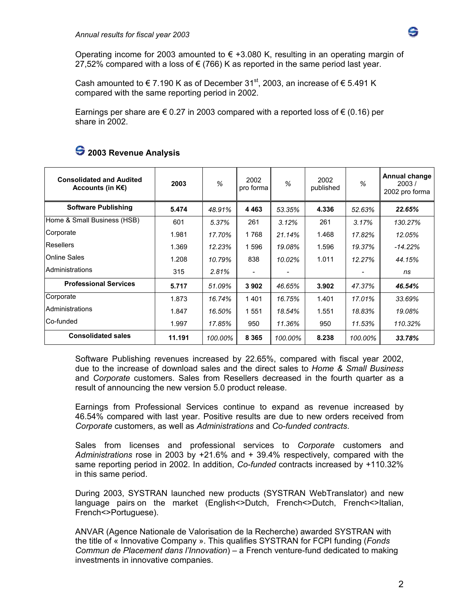

Operating income for 2003 amounted to  $\epsilon$  +3.080 K, resulting in an operating margin of 27,52% compared with a loss of  $\epsilon$  (766) K as reported in the same period last year.

Cash amounted to  $\in$  7.190 K as of December 31<sup>st</sup>, 2003, an increase of  $\in$  5.491 K compared with the same reporting period in 2002.

Earnings per share are  $\epsilon$  0.27 in 2003 compared with a reported loss of  $\epsilon$  (0.16) per share in 2002.

| <b>Consolidated and Audited</b><br>Accounts (in $K \in \mathbb{R}$ ) | 2003   | $\%$    | 2002<br>pro forma | $\frac{9}{6}$ | 2002<br>published | %       | Annual change<br>2003/<br>2002 pro forma |
|----------------------------------------------------------------------|--------|---------|-------------------|---------------|-------------------|---------|------------------------------------------|
| <b>Software Publishing</b>                                           | 5.474  | 48.91%  | 4 4 6 3           | 53.35%        | 4.336             | 52.63%  | 22.65%                                   |
| Home & Small Business (HSB)                                          | 601    | 5.37%   | 261               | 3.12%         | 261               | 3.17%   | 130.27%                                  |
| Corporate                                                            | 1.981  | 17.70%  | 1768              | 21.14%        | 1.468             | 17.82%  | 12.05%                                   |
| Resellers                                                            | 1.369  | 12.23%  | 1596              | 19.08%        | 1.596             | 19.37%  | $-14.22%$                                |
| <b>Online Sales</b>                                                  | 1.208  | 10.79%  | 838               | 10.02%        | 1.011             | 12.27%  | 44.15%                                   |
| Administrations                                                      | 315    | 2.81%   |                   |               |                   |         | ns                                       |
| <b>Professional Services</b>                                         | 5.717  | 51.09%  | 3902              | 46.65%        | 3.902             | 47.37%  | 46.54%                                   |
| Corporate                                                            | 1.873  | 16.74%  | 1401              | 16.75%        | 1.401             | 17.01%  | 33.69%                                   |
| Administrations                                                      | 1.847  | 16.50%  | 1551              | 18.54%        | 1.551             | 18.83%  | 19.08%                                   |
| Co-funded                                                            | 1.997  | 17.85%  | 950               | 11.36%        | 950               | 11.53%  | 110.32%                                  |
| <b>Consolidated sales</b>                                            | 11.191 | 100.00% | 8 3 6 5           | 100.00%       | 8.238             | 100.00% | 33.78%                                   |

### **2003 Revenue Analysis**

Software Publishing revenues increased by 22.65%, compared with fiscal year 2002, due to the increase of download sales and the direct sales to *Home & Small Business* and *Corporate* customers. Sales from Resellers decreased in the fourth quarter as a result of announcing the new version 5.0 product release.

Earnings from Professional Services continue to expand as revenue increased by 46.54% compared with last year. Positive results are due to new orders received from *Corporate* customers, as well as *Administrations* and *Co-funded contracts*.

Sales from licenses and professional services to *Corporate* customers and *Administrations* rose in 2003 by +21.6% and + 39.4% respectively, compared with the same reporting period in 2002. In addition, *Co-funded* contracts increased by +110.32% in this same period.

During 2003, SYSTRAN launched new products (SYSTRAN WebTranslator) and new language pairs on the market (English<>Dutch, French<>Dutch, French<>Italian, French<>Portuguese).

ANVAR (Agence Nationale de Valorisation de la Recherche) awarded SYSTRAN with the title of « Innovative Company ». This qualifies SYSTRAN for FCPI funding (*Fonds Commun de Placement dans l'Innovation*) – a French venture-fund dedicated to making investments in innovative companies.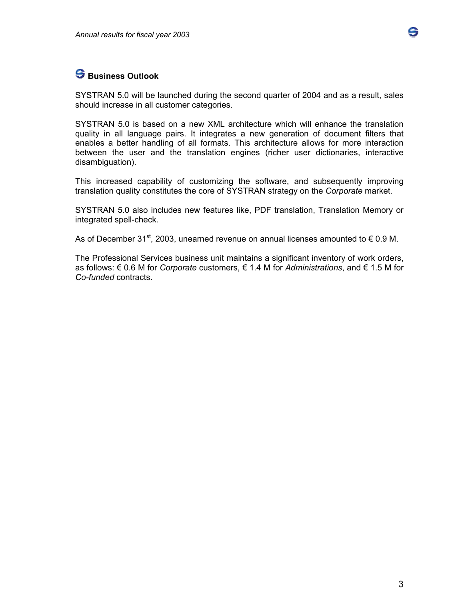

## **S** Business Outlook

SYSTRAN 5.0 will be launched during the second quarter of 2004 and as a result, sales should increase in all customer categories.

SYSTRAN 5.0 is based on a new XML architecture which will enhance the translation quality in all language pairs. It integrates a new generation of document filters that enables a better handling of all formats. This architecture allows for more interaction between the user and the translation engines (richer user dictionaries, interactive disambiguation).

This increased capability of customizing the software, and subsequently improving translation quality constitutes the core of SYSTRAN strategy on the *Corporate* market.

SYSTRAN 5.0 also includes new features like, PDF translation, Translation Memory or integrated spell-check.

As of December 31<sup>st</sup>, 2003, unearned revenue on annual licenses amounted to  $\epsilon$  0.9 M.

The Professional Services business unit maintains a significant inventory of work orders, as follows: € 0.6 M for *Corporate* customers, € 1.4 M for *Administrations*, and € 1.5 M for *Co-funded* contracts.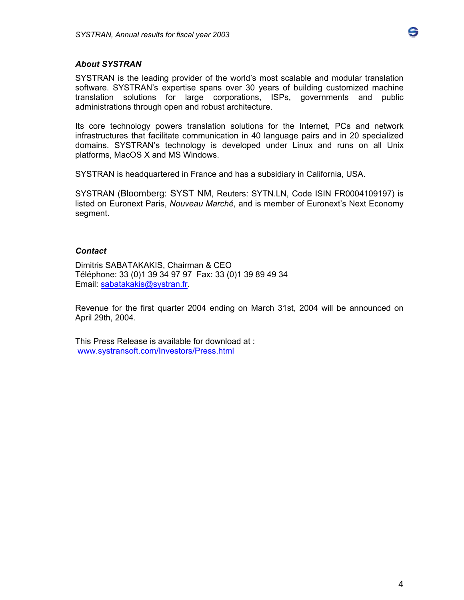# S

### *About SYSTRAN*

SYSTRAN is the leading provider of the world's most scalable and modular translation software. SYSTRAN's expertise spans over 30 years of building customized machine translation solutions for large corporations, ISPs, governments and public administrations through open and robust architecture.

Its core technology powers translation solutions for the Internet, PCs and network infrastructures that facilitate communication in 40 language pairs and in 20 specialized domains. SYSTRAN's technology is developed under Linux and runs on all Unix platforms, MacOS X and MS Windows.

SYSTRAN is headquartered in France and has a subsidiary in California, USA.

SYSTRAN (Bloomberg: SYST NM, Reuters: SYTN.LN, Code ISIN FR0004109197) is listed on Euronext Paris, *Nouveau Marché*, and is member of Euronext's Next Economy segment.

#### *Contact*

Dimitris SABATAKAKIS, Chairman & CEO Téléphone: 33 (0)1 39 34 97 97 Fax: 33 (0)1 39 89 49 34 Email: sabatakakis@systran.fr.

Revenue for the first quarter 2004 ending on March 31st, 2004 will be announced on April 29th, 2004.

This Press Release is available for download at : www.systransoft.com/Investors/Press.html